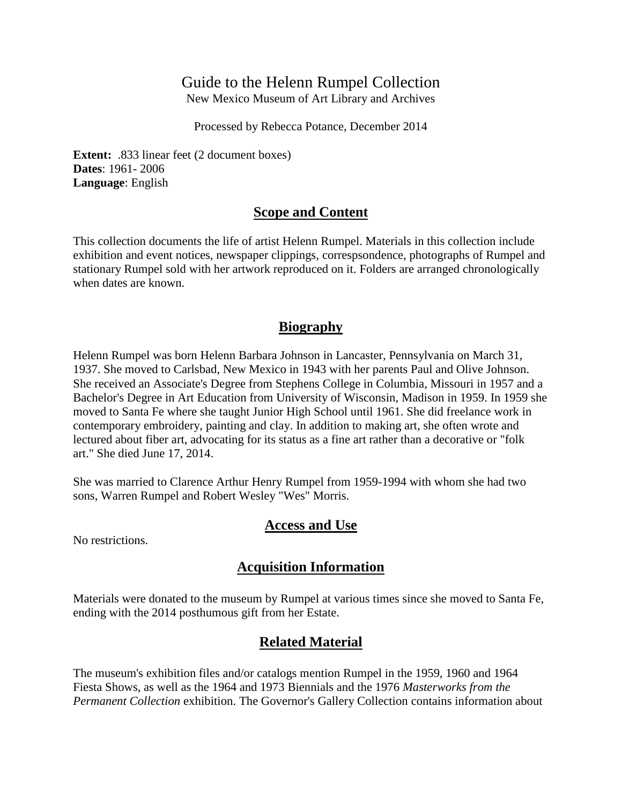## Guide to the Helenn Rumpel Collection

New Mexico Museum of Art Library and Archives

Processed by Rebecca Potance, December 2014

**Extent:** .833 linear feet (2 document boxes) **Dates**: 1961- 2006 **Language**: English

#### **Scope and Content**

This collection documents the life of artist Helenn Rumpel. Materials in this collection include exhibition and event notices, newspaper clippings, correspsondence, photographs of Rumpel and stationary Rumpel sold with her artwork reproduced on it. Folders are arranged chronologically when dates are known.

#### **Biography**

Helenn Rumpel was born Helenn Barbara Johnson in Lancaster, Pennsylvania on March 31, 1937. She moved to Carlsbad, New Mexico in 1943 with her parents Paul and Olive Johnson. She received an Associate's Degree from Stephens College in Columbia, Missouri in 1957 and a Bachelor's Degree in Art Education from University of Wisconsin, Madison in 1959. In 1959 she moved to Santa Fe where she taught Junior High School until 1961. She did freelance work in contemporary embroidery, painting and clay. In addition to making art, she often wrote and lectured about fiber art, advocating for its status as a fine art rather than a decorative or "folk art." She died June 17, 2014.

She was married to Clarence Arthur Henry Rumpel from 1959-1994 with whom she had two sons, Warren Rumpel and Robert Wesley "Wes" Morris.

#### **Access and Use**

No restrictions.

### **Acquisition Information**

Materials were donated to the museum by Rumpel at various times since she moved to Santa Fe, ending with the 2014 posthumous gift from her Estate.

### **Related Material**

The museum's exhibition files and/or catalogs mention Rumpel in the 1959, 1960 and 1964 Fiesta Shows, as well as the 1964 and 1973 Biennials and the 1976 *Masterworks from the Permanent Collection* exhibition. The Governor's Gallery Collection contains information about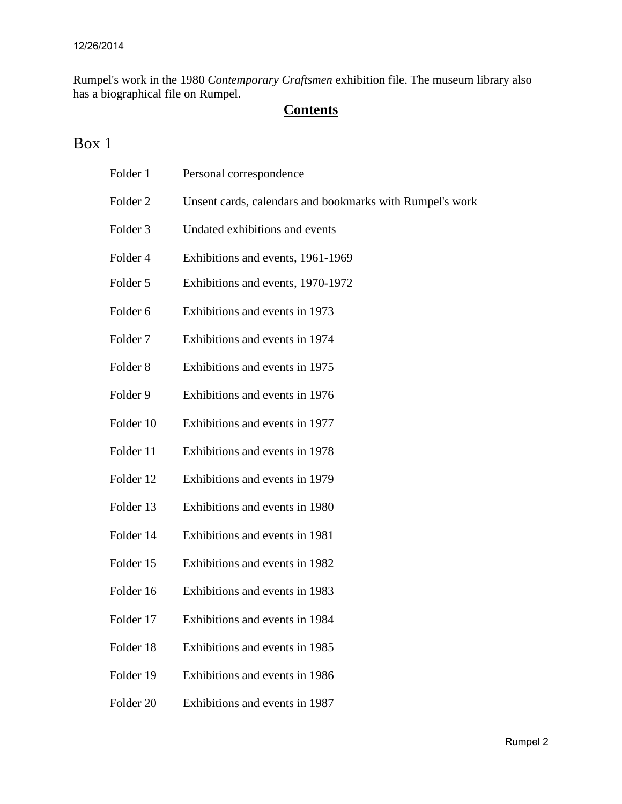Rumpel's work in the 1980 *Contemporary Craftsmen* exhibition file. The museum library also has a biographical file on Rumpel.

## **Contents**

## Box 1

| Folder 1             | Personal correspondence                                  |
|----------------------|----------------------------------------------------------|
| Folder <sub>2</sub>  | Unsent cards, calendars and bookmarks with Rumpel's work |
| Folder 3             | Undated exhibitions and events                           |
| Folder 4             | Exhibitions and events, 1961-1969                        |
| Folder 5             | Exhibitions and events, 1970-1972                        |
| Folder <sub>6</sub>  | Exhibitions and events in 1973                           |
| Folder <sub>7</sub>  | Exhibitions and events in 1974                           |
| Folder <sub>8</sub>  | Exhibitions and events in 1975                           |
| Folder 9             | Exhibitions and events in 1976                           |
| Folder 10            | Exhibitions and events in 1977                           |
| Folder 11            | Exhibitions and events in 1978                           |
| Folder 12            | Exhibitions and events in 1979                           |
| Folder 13            | Exhibitions and events in 1980                           |
| Folder 14            | Exhibitions and events in 1981                           |
| Folder 15            | Exhibitions and events in 1982                           |
| Folder 16            | Exhibitions and events in 1983                           |
| Folder 17            | Exhibitions and events in 1984                           |
| Folder 18            | Exhibitions and events in 1985                           |
| Folder 19            | Exhibitions and events in 1986                           |
| Folder <sub>20</sub> | Exhibitions and events in 1987                           |